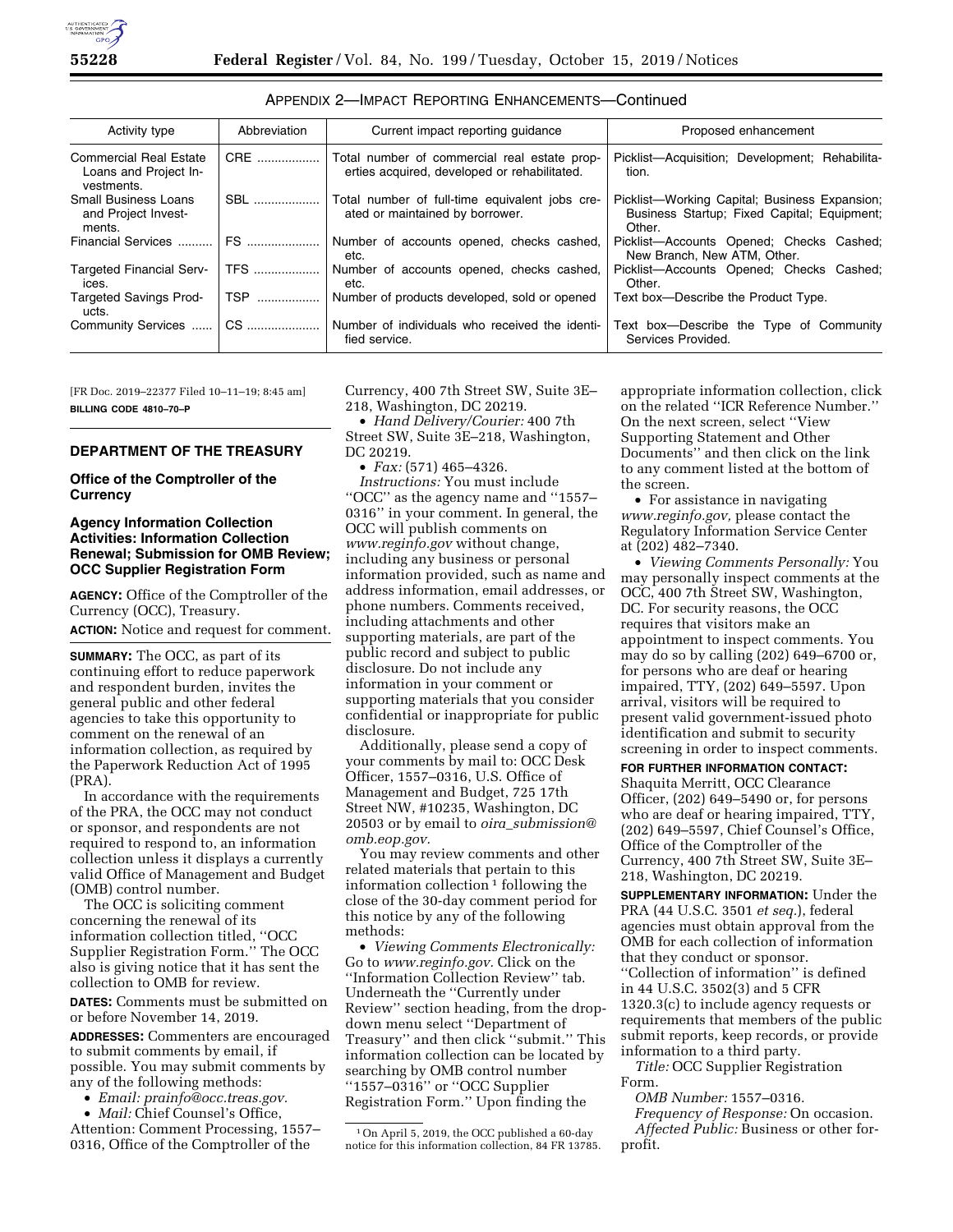| Activity type                                                        | Abbreviation | Current impact reporting guidance                                                            | Proposed enhancement                                                                                   |  |
|----------------------------------------------------------------------|--------------|----------------------------------------------------------------------------------------------|--------------------------------------------------------------------------------------------------------|--|
| <b>Commercial Real Estate</b><br>Loans and Project In-<br>vestments. | CRE          | Total number of commercial real estate prop-<br>erties acquired, developed or rehabilitated. | Picklist-Acquisition; Development; Rehabilita-<br>tion.                                                |  |
| <b>Small Business Loans</b><br>and Project Invest-<br>ments.         | SBL          | Total number of full-time equivalent jobs cre-<br>ated or maintained by borrower.            | Picklist-Working Capital; Business Expansion;<br>Business Startup; Fixed Capital; Equipment;<br>Other. |  |
| Financial Services                                                   | FS           | Number of accounts opened, checks cashed,<br>etc.                                            | Picklist-Accounts Opened; Checks Cashed;<br>New Branch, New ATM, Other.                                |  |
| <b>Targeted Financial Serv-</b><br>ices.                             | <b>TFS</b>   | Number of accounts opened, checks cashed,<br>etc.                                            | Picklist-Accounts Opened; Checks Cashed;<br>Other.                                                     |  |
| <b>Targeted Savings Prod-</b><br>ucts.                               | TSP          | Number of products developed, sold or opened                                                 | Text box—Describe the Product Type.                                                                    |  |
| Community Services                                                   | CS.          | Number of individuals who received the identi-<br>fied service.                              | Text box—Describe the Type of Community<br>Services Provided.                                          |  |

| APPENDIX 2-IMPACT REPORTING ENHANCEMENTS-Continued |  |  |  |
|----------------------------------------------------|--|--|--|
|----------------------------------------------------|--|--|--|

[FR Doc. 2019–22377 Filed 10–11–19; 8:45 am] **BILLING CODE 4810–70–P** 

## **DEPARTMENT OF THE TREASURY**

**Office of the Comptroller of the Currency** 

#### **Agency Information Collection Activities: Information Collection Renewal; Submission for OMB Review; OCC Supplier Registration Form**

**AGENCY:** Office of the Comptroller of the Currency (OCC), Treasury. **ACTION:** Notice and request for comment.

**SUMMARY:** The OCC, as part of its continuing effort to reduce paperwork and respondent burden, invites the general public and other federal agencies to take this opportunity to comment on the renewal of an information collection, as required by the Paperwork Reduction Act of 1995 (PRA).

In accordance with the requirements of the PRA, the OCC may not conduct or sponsor, and respondents are not required to respond to, an information collection unless it displays a currently valid Office of Management and Budget (OMB) control number.

The OCC is soliciting comment concerning the renewal of its information collection titled, ''OCC Supplier Registration Form.'' The OCC also is giving notice that it has sent the collection to OMB for review.

**DATES:** Comments must be submitted on or before November 14, 2019.

**ADDRESSES:** Commenters are encouraged to submit comments by email, if possible. You may submit comments by any of the following methods:

- *Email: [prainfo@occ.treas.gov.](mailto:prainfo@occ.treas.gov)*
- *Mail:* Chief Counsel's Office, Attention: Comment Processing, 1557– 0316, Office of the Comptroller of the

Currency, 400 7th Street SW, Suite 3E– 218, Washington, DC 20219.

• *Hand Delivery/Courier:* 400 7th Street SW, Suite 3E–218, Washington, DC 20219.

• *Fax:* (571) 465–4326.

*Instructions:* You must include ''OCC'' as the agency name and ''1557– 0316'' in your comment. In general, the OCC will publish comments on *[www.reginfo.gov](http://www.reginfo.gov)* without change, including any business or personal information provided, such as name and address information, email addresses, or phone numbers. Comments received, including attachments and other supporting materials, are part of the public record and subject to public disclosure. Do not include any information in your comment or supporting materials that you consider confidential or inappropriate for public disclosure.

Additionally, please send a copy of your comments by mail to: OCC Desk Officer, 1557–0316, U.S. Office of Management and Budget, 725 17th Street NW, #10235, Washington, DC 20503 or by email to *oira*\_*[submission@](mailto:oira_submission@omb.eop.gov) [omb.eop.gov.](mailto:oira_submission@omb.eop.gov)* 

You may review comments and other related materials that pertain to this information collection  $\frac{1}{1}$  following the close of the 30-day comment period for this notice by any of the following methods:

• *Viewing Comments Electronically:*  Go to *[www.reginfo.gov.](http://www.reginfo.gov)* Click on the ''Information Collection Review'' tab. Underneath the ''Currently under Review'' section heading, from the dropdown menu select ''Department of Treasury'' and then click ''submit.'' This information collection can be located by searching by OMB control number ''1557–0316'' or ''OCC Supplier Registration Form.'' Upon finding the

appropriate information collection, click on the related ''ICR Reference Number.'' On the next screen, select ''View Supporting Statement and Other Documents'' and then click on the link to any comment listed at the bottom of the screen.

• For assistance in navigating *[www.reginfo.gov,](http://www.reginfo.gov)* please contact the Regulatory Information Service Center at (202) 482–7340.

• *Viewing Comments Personally:* You may personally inspect comments at the OCC, 400 7th Street SW, Washington, DC. For security reasons, the OCC requires that visitors make an appointment to inspect comments. You may do so by calling (202) 649–6700 or, for persons who are deaf or hearing impaired, TTY, (202) 649–5597. Upon arrival, visitors will be required to present valid government-issued photo identification and submit to security screening in order to inspect comments.

## **FOR FURTHER INFORMATION CONTACT:**

Shaquita Merritt, OCC Clearance Officer, (202) 649–5490 or, for persons who are deaf or hearing impaired, TTY, (202) 649–5597, Chief Counsel's Office, Office of the Comptroller of the Currency, 400 7th Street SW, Suite 3E– 218, Washington, DC 20219.

**SUPPLEMENTARY INFORMATION:** Under the PRA (44 U.S.C. 3501 *et seq.*), federal agencies must obtain approval from the OMB for each collection of information that they conduct or sponsor. ''Collection of information'' is defined in 44 U.S.C. 3502(3) and 5 CFR 1320.3(c) to include agency requests or requirements that members of the public submit reports, keep records, or provide information to a third party.

*Title:* OCC Supplier Registration Form.

*OMB Number:* 1557–0316. *Frequency of Response:* On occasion. *Affected Public:* Business or other forprofit.

<sup>1</sup>On April 5, 2019, the OCC published a 60-day notice for this information collection, 84 FR 13785.